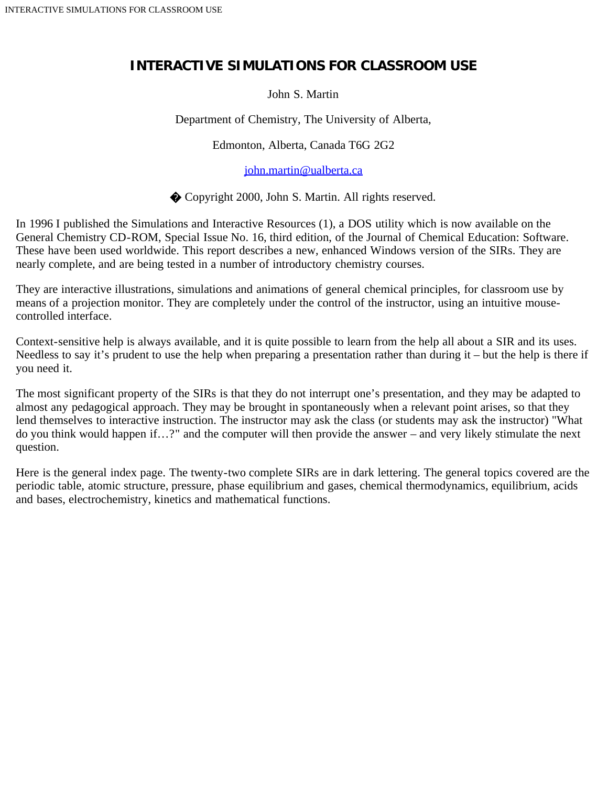## **INTERACTIVE SIMULATIONS FOR CLASSROOM USE**

John S. Martin

Department of Chemistry, The University of Alberta,

Edmonton, Alberta, Canada T6G 2G2

[john.martin@ualberta.ca](mailto:john.martin@ualberta.ca)

� Copyright 2000, John S. Martin. All rights reserved.

In 1996 I published the Simulations and Interactive Resources (1), a DOS utility which is now available on the General Chemistry CD-ROM, Special Issue No. 16, third edition, of the Journal of Chemical Education: Software. These have been used worldwide. This report describes a new, enhanced Windows version of the SIRs. They are nearly complete, and are being tested in a number of introductory chemistry courses.

They are interactive illustrations, simulations and animations of general chemical principles, for classroom use by means of a projection monitor. They are completely under the control of the instructor, using an intuitive mousecontrolled interface.

Context-sensitive help is always available, and it is quite possible to learn from the help all about a SIR and its uses. Needless to say it's prudent to use the help when preparing a presentation rather than during it – but the help is there if you need it.

The most significant property of the SIRs is that they do not interrupt one's presentation, and they may be adapted to almost any pedagogical approach. They may be brought in spontaneously when a relevant point arises, so that they lend themselves to interactive instruction. The instructor may ask the class (or students may ask the instructor) "What do you think would happen if…?" and the computer will then provide the answer – and very likely stimulate the next question.

Here is the general index page. The twenty-two complete SIRs are in dark lettering. The general topics covered are the periodic table, atomic structure, pressure, phase equilibrium and gases, chemical thermodynamics, equilibrium, acids and bases, electrochemistry, kinetics and mathematical functions.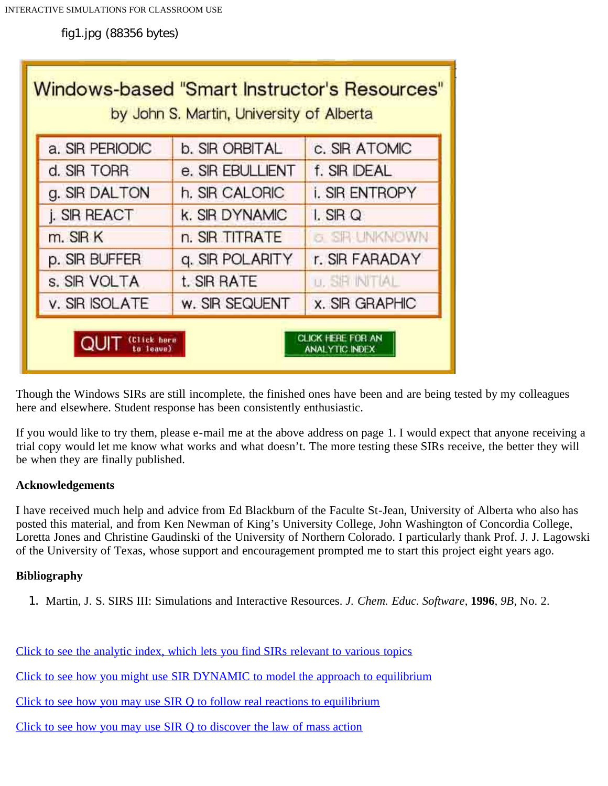fig1.jpg (88356 bytes)

| Windows-based "Smart Instructor's Resources"<br>by John S. Martin, University of Alberta |                     |                       |                       |
|------------------------------------------------------------------------------------------|---------------------|-----------------------|-----------------------|
|                                                                                          | a. SIR PERIODIC     | b. SIR ORBITAL        | c. SIR ATOMIC         |
|                                                                                          | d. SIR TORR         | e. SIR EBULLIENT      | f. SIR IDEAL          |
|                                                                                          | g. SIR DALTON       | h. SIR CALORIC        | <b>i. SIR ENTROPY</b> |
|                                                                                          | <b>j. SIR REACT</b> | <b>k. SIR DYNAMIC</b> | $L$ SIR Q             |
|                                                                                          | m. SIR K            | n. SIR TITRATE        | <b>6 SR UNKNOWN</b>   |
|                                                                                          | p. SIR BUFFER       | q. SIR POLARITY       | r. SIR FARADAY        |
|                                                                                          | s. SIR VOLTA        | t. SIR RATE           | <b>u. SP INITIAL</b>  |
|                                                                                          | v. SIR ISOLATE      | w. SIR SEQUENT        | <b>x. SIR GRAPHIC</b> |
| CLICK HERE FOR AN<br><b>ANALYTIC INDEX</b>                                               |                     |                       |                       |

Though the Windows SIRs are still incomplete, the finished ones have been and are being tested by my colleagues here and elsewhere. Student response has been consistently enthusiastic.

If you would like to try them, please e-mail me at the above address on page 1. I would expect that anyone receiving a trial copy would let me know what works and what doesn't. The more testing these SIRs receive, the better they will be when they are finally published.

## **Acknowledgements**

I have received much help and advice from Ed Blackburn of the Faculte St-Jean, University of Alberta who also has posted this material, and from Ken Newman of King's University College, John Washington of Concordia College, Loretta Jones and Christine Gaudinski of the University of Northern Colorado. I particularly thank Prof. J. J. Lagowski of the University of Texas, whose support and encouragement prompted me to start this project eight years ago.

## **Bibliography**

1. Martin, J. S. SIRS III: Simulations and Interactive Resources. *J. Chem. Educ. Software*, **1996**, *9B*, No. 2.

[Click to see the analytic index, which lets you find SIRs relevant to various topics](http://www.files.chem.vt.edu/confchem/2000/b/martin/webconfchem/Webcc2.html)

[Click to see how you might use SIR DYNAMIC to model the approach to equilibrium](http://www.files.chem.vt.edu/confchem/2000/b/martin/webconfchem/Webcc3.html)

[Click to see how you may use SIR Q to follow real reactions to equilibrium](http://www.files.chem.vt.edu/confchem/2000/b/martin/webconfchem/Webcc4.html)

[Click to see how you may use SIR Q to discover the law of mass action](http://www.files.chem.vt.edu/confchem/2000/b/martin/webconfchem/Webcc5.html)